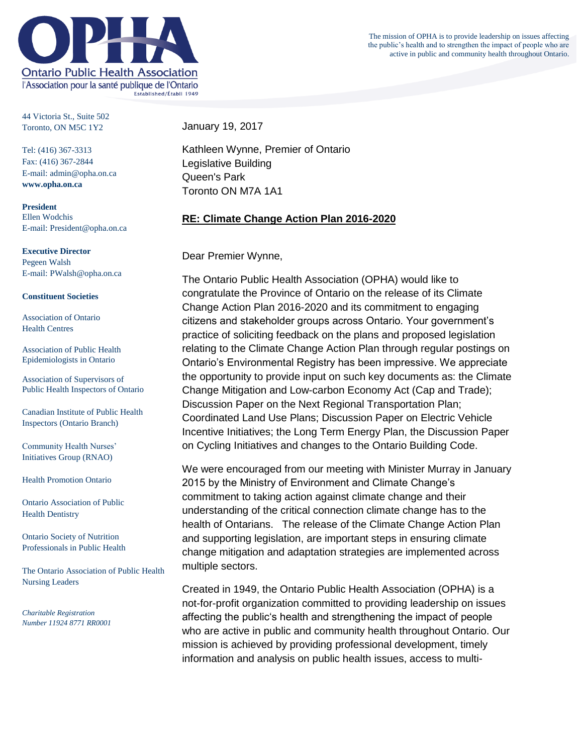

The mission of OPHA is to provide leadership on issues affecting the public's health and to strengthen the impact of people who are active in public and community health throughout Ontario.

44 Victoria St., Suite 502 Toronto, ON M5C 1Y2

Tel: (416) 367-3313 Fax: (416) 367-2844 E-mail: admin@opha.on.ca **www.opha.on.ca**

**President** Ellen Wodchis E-mail: President@opha.on.ca

**Executive Director** Pegeen Walsh E-mail: PWalsh@opha.on.ca

## **Constituent Societies**

Association of Ontario Health Centres

Association of Public Health Epidemiologists in Ontario

Association of Supervisors of Public Health Inspectors of Ontario

Canadian Institute of Public Health Inspectors (Ontario Branch)

Community Health Nurses' Initiatives Group (RNAO)

Health Promotion Ontario

Ontario Association of Public Health Dentistry

Ontario Society of Nutrition Professionals in Public Health

The Ontario Association of Public Health Nursing Leaders

*Charitable Registration Number 11924 8771 RR0001* January 19, 2017

Kathleen Wynne, Premier of Ontario Legislative Building Queen's Park Toronto ON M7A 1A1

## **RE: Climate Change Action Plan 2016-2020**

Dear Premier Wynne,

The Ontario Public Health Association (OPHA) would like to congratulate the Province of Ontario on the release of its Climate Change Action Plan 2016-2020 and its commitment to engaging citizens and stakeholder groups across Ontario. Your government's practice of soliciting feedback on the plans and proposed legislation relating to the Climate Change Action Plan through regular postings on Ontario's Environmental Registry has been impressive. We appreciate the opportunity to provide input on such key documents as: the Climate Change Mitigation and Low-carbon Economy Act (Cap and Trade); Discussion Paper on the Next Regional Transportation Plan; Coordinated Land Use Plans; Discussion Paper on Electric Vehicle Incentive Initiatives; the Long Term Energy Plan, the Discussion Paper on Cycling Initiatives and changes to the Ontario Building Code.

We were encouraged from our meeting with Minister Murray in January 2015 by the Ministry of Environment and Climate Change's commitment to taking action against climate change and their understanding of the critical connection climate change has to the health of Ontarians. The release of the Climate Change Action Plan and supporting legislation, are important steps in ensuring climate change mitigation and adaptation strategies are implemented across multiple sectors.

Created in 1949, the Ontario Public Health Association (OPHA) is a not-for-profit organization committed to providing leadership on issues affecting the public's health and strengthening the impact of people who are active in public and community health throughout Ontario. Our mission is achieved by providing professional development, timely information and analysis on public health issues, access to multi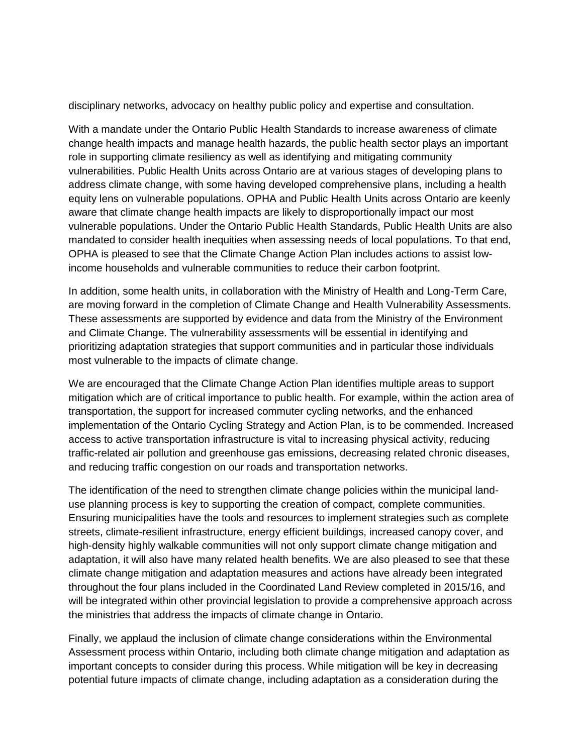disciplinary networks, advocacy on healthy public policy and expertise and consultation.

With a mandate under the Ontario Public Health Standards to increase awareness of climate change health impacts and manage health hazards, the public health sector plays an important role in supporting climate resiliency as well as identifying and mitigating community vulnerabilities. Public Health Units across Ontario are at various stages of developing plans to address climate change, with some having developed comprehensive plans, including a health equity lens on vulnerable populations. OPHA and Public Health Units across Ontario are keenly aware that climate change health impacts are likely to disproportionally impact our most vulnerable populations. Under the Ontario Public Health Standards, Public Health Units are also mandated to consider health inequities when assessing needs of local populations. To that end, OPHA is pleased to see that the Climate Change Action Plan includes actions to assist lowincome households and vulnerable communities to reduce their carbon footprint.

In addition, some health units, in collaboration with the Ministry of Health and Long-Term Care, are moving forward in the completion of Climate Change and Health Vulnerability Assessments. These assessments are supported by evidence and data from the Ministry of the Environment and Climate Change. The vulnerability assessments will be essential in identifying and prioritizing adaptation strategies that support communities and in particular those individuals most vulnerable to the impacts of climate change.

We are encouraged that the Climate Change Action Plan identifies multiple areas to support mitigation which are of critical importance to public health. For example, within the action area of transportation, the support for increased commuter cycling networks, and the enhanced implementation of the Ontario Cycling Strategy and Action Plan, is to be commended. Increased access to active transportation infrastructure is vital to increasing physical activity, reducing traffic-related air pollution and greenhouse gas emissions, decreasing related chronic diseases, and reducing traffic congestion on our roads and transportation networks.

The identification of the need to strengthen climate change policies within the municipal landuse planning process is key to supporting the creation of compact, complete communities. Ensuring municipalities have the tools and resources to implement strategies such as complete streets, climate-resilient infrastructure, energy efficient buildings, increased canopy cover, and high-density highly walkable communities will not only support climate change mitigation and adaptation, it will also have many related health benefits. We are also pleased to see that these climate change mitigation and adaptation measures and actions have already been integrated throughout the four plans included in the Coordinated Land Review completed in 2015/16, and will be integrated within other provincial legislation to provide a comprehensive approach across the ministries that address the impacts of climate change in Ontario.

Finally, we applaud the inclusion of climate change considerations within the Environmental Assessment process within Ontario, including both climate change mitigation and adaptation as important concepts to consider during this process. While mitigation will be key in decreasing potential future impacts of climate change, including adaptation as a consideration during the